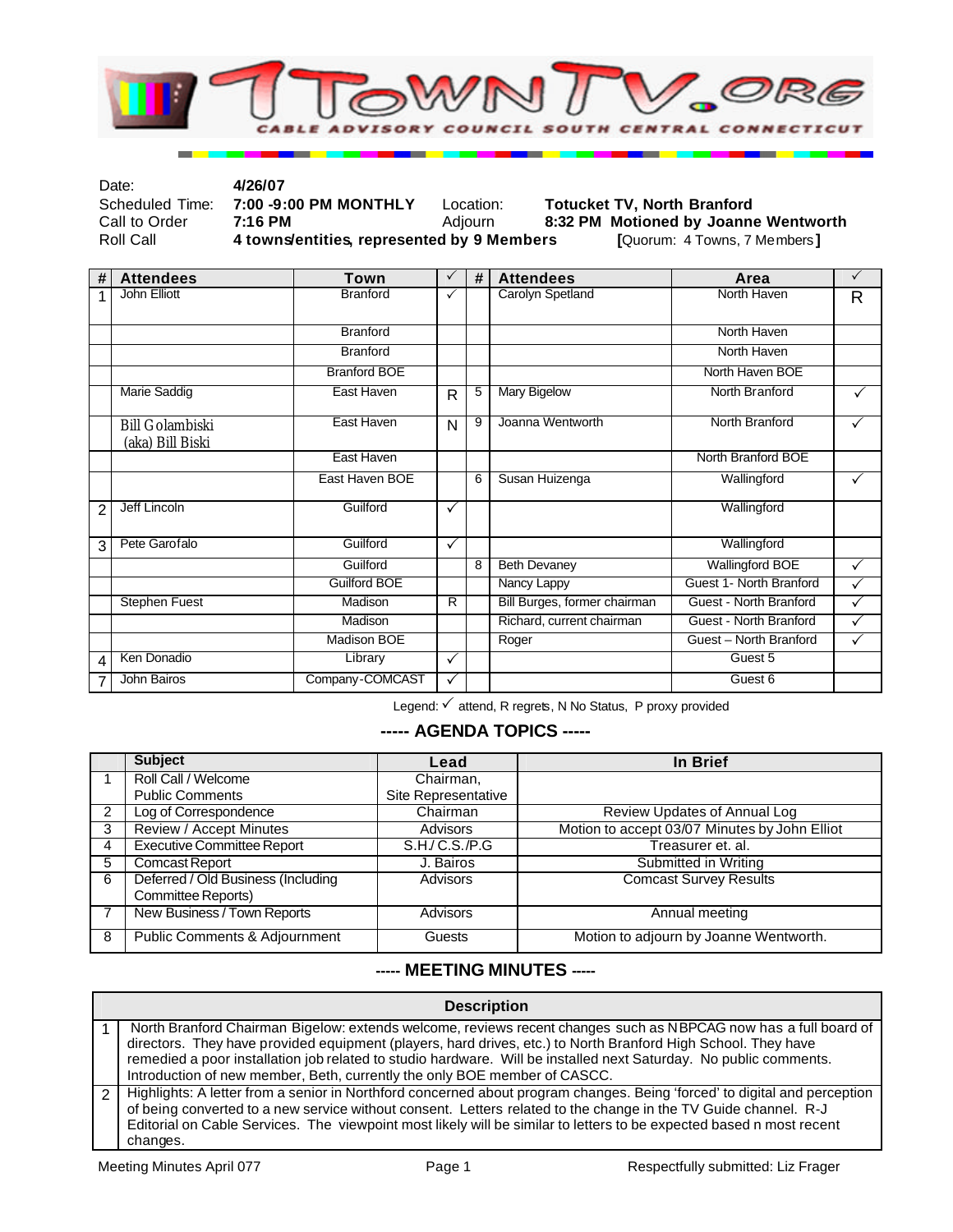

| Date:           | 4/26/07                                    |           |                                      |
|-----------------|--------------------------------------------|-----------|--------------------------------------|
| Scheduled Time: | 7:00 -9:00 PM MONTHLY                      | Location: | <b>Totucket TV. North Branford</b>   |
| Call to Order   | 7:16 PM                                    | Adiourn   | 8:32 PM Motioned by Joanne Wentworth |
| Roll Call       | 4 towns/entities, represented by 9 Members |           | [Quorum: 4 Towns, 7 Members]         |

| #              | <b>Attendees</b>                           | Town                | $\checkmark$   | # | <b>Attendees</b>             | Area                    | $\checkmark$ |
|----------------|--------------------------------------------|---------------------|----------------|---|------------------------------|-------------------------|--------------|
| 1              | John Elliott                               | <b>Branford</b>     | ✓              |   | Carolyn Spetland             | North Haven             | R            |
|                |                                            | <b>Branford</b>     |                |   |                              | North Haven             |              |
|                |                                            | <b>Branford</b>     |                |   |                              | North Haven             |              |
|                |                                            | <b>Branford BOE</b> |                |   |                              | North Haven BOE         |              |
|                | <b>Marie Saddig</b>                        | East Haven          | R              | 5 | <b>Mary Bigelow</b>          | North Branford          | $\checkmark$ |
|                | <b>Bill Golambiski</b><br>(aka) Bill Biski | East Haven          | N              | 9 | Joanna Wentworth             | North Branford          |              |
|                |                                            | East Haven          |                |   |                              | North Branford BOE      |              |
|                |                                            | East Haven BOE      |                | 6 | Susan Huizenga               | Wallingford             |              |
| $\mathfrak{p}$ | Jeff Lincoln                               | Guilford            | $\checkmark$   |   |                              | Wallingford             |              |
| 3              | Pete Garofalo                              | Guilford            | $\checkmark$   |   |                              | Wallingford             |              |
|                |                                            | Guilford            |                | 8 | <b>Beth Devaney</b>          | <b>Wallingford BOE</b>  | $\checkmark$ |
|                |                                            | <b>Guilford BOE</b> |                |   | Nancy Lappy                  | Guest 1- North Branford | $\checkmark$ |
|                | <b>Stephen Fuest</b>                       | Madison             | $\overline{R}$ |   | Bill Burges, former chairman | Guest - North Branford  | ✓            |
|                |                                            | Madison             |                |   | Richard, current chairman    | Guest - North Branford  | ✓            |
|                |                                            | <b>Madison BOE</b>  |                |   | Roger                        | Guest - North Branford  | $\checkmark$ |
| 4              | Ken Donadio                                | Library             | $\checkmark$   |   |                              | Guest 5                 |              |
| 7              | John Bairos                                | Company-COMCAST     | ✓              |   |                              | Guest 6                 |              |

Legend:  $\checkmark$  attend, R regrets, N No Status, P proxy provided

## **----- AGENDA TOPICS -----**

|   | <b>Subject</b>                                           | Lead                | In Brief                                      |
|---|----------------------------------------------------------|---------------------|-----------------------------------------------|
|   | Roll Call / Welcome                                      | Chairman,           |                                               |
|   | <b>Public Comments</b>                                   | Site Representative |                                               |
|   | Log of Correspondence                                    | Chairman            | Review Updates of Annual Log                  |
| 3 | <b>Review / Accept Minutes</b>                           | <b>Advisors</b>     | Motion to accept 03/07 Minutes by John Elliot |
| 4 | <b>Executive Committee Report</b>                        | S.H./ C.S./P.G      | Treasurer et. al.                             |
| 5 | <b>Comcast Report</b>                                    | J. Bairos           | Submitted in Writing                          |
| 6 | Deferred / Old Business (Including<br>Committee Reports) | <b>Advisors</b>     | <b>Comcast Survey Results</b>                 |
|   | New Business / Town Reports                              | <b>Advisors</b>     | Annual meeting                                |
| 8 | Public Comments & Adjournment                            | Guests              | Motion to adjourn by Joanne Wentworth.        |

## **----- MEETING MINUTES -----**

| <b>Description</b>                                                                                                                                                                                                                                                                                                                                                                                                                 |  |  |  |  |
|------------------------------------------------------------------------------------------------------------------------------------------------------------------------------------------------------------------------------------------------------------------------------------------------------------------------------------------------------------------------------------------------------------------------------------|--|--|--|--|
| North Branford Chairman Bigelow: extends welcome, reviews recent changes such as NBPCAG now has a full board of<br>directors. They have provided equipment (players, hard drives, etc.) to North Branford High School. They have<br>remedied a poor installation job related to studio hardware. Will be installed next Saturday. No public comments.<br>Introduction of new member, Beth, currently the only BOE member of CASCC. |  |  |  |  |
| Highlights: A letter from a senior in Northford concerned about program changes. Being 'forced' to digital and perception<br>of being converted to a new service without consent. Letters related to the change in the TV Guide channel. R-J<br>Editorial on Cable Services. The viewpoint most likely will be similar to letters to be expected based n most recent<br>changes.                                                   |  |  |  |  |